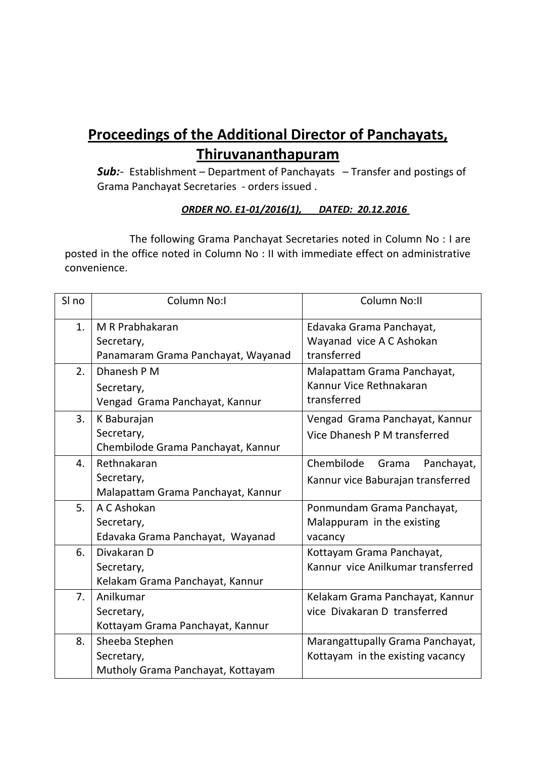# **Proceedings of the Additional Director of Panchayats, Thiruvananthapuram**

**Sub:**- Establishment – Department of Panchayats – Transfer and postings of Grama Panchayat Secretaries - orders issued .

### **ORDER NO. E1-01/2016(1), DATED: 20.12.2016**

The following Grama Panchayat Secretaries noted in Column No : I are posted in the office noted in Column No : II with immediate effect on administrative convenience.

| SI no          | <b>Column No:I</b>                 | Column No:II                      |
|----------------|------------------------------------|-----------------------------------|
| 1.             | M R Prabhakaran                    | Edavaka Grama Panchayat,          |
|                | Secretary,                         | Wayanad vice A C Ashokan          |
|                | Panamaram Grama Panchayat, Wayanad | transferred                       |
| 2.             | Dhanesh P M                        | Malapattam Grama Panchayat,       |
|                | Secretary,                         | Kannur Vice Rethnakaran           |
|                | Vengad Grama Panchayat, Kannur     | transferred                       |
| 3.             | K Baburajan                        | Vengad Grama Panchayat, Kannur    |
|                | Secretary,                         | Vice Dhanesh P M transferred      |
|                | Chembilode Grama Panchayat, Kannur |                                   |
| 4.             | Rethnakaran                        | Chembilode<br>Panchayat,<br>Grama |
|                | Secretary,                         | Kannur vice Baburajan transferred |
|                | Malapattam Grama Panchayat, Kannur |                                   |
| 5.             | A C Ashokan                        | Ponmundam Grama Panchayat,        |
|                | Secretary,                         | Malappuram in the existing        |
|                | Edavaka Grama Panchayat, Wayanad   | vacancy                           |
| 6.             | Divakaran D                        | Kottayam Grama Panchayat,         |
|                | Secretary,                         | Kannur vice Anilkumar transferred |
|                | Kelakam Grama Panchayat, Kannur    |                                   |
| 7 <sub>1</sub> | Anilkumar                          | Kelakam Grama Panchayat, Kannur   |
|                | Secretary,                         | vice Divakaran D transferred      |
|                | Kottayam Grama Panchayat, Kannur   |                                   |
| 8.             | Sheeba Stephen                     | Marangattupally Grama Panchayat,  |
|                | Secretary,                         | Kottayam in the existing vacancy  |
|                | Mutholy Grama Panchayat, Kottayam  |                                   |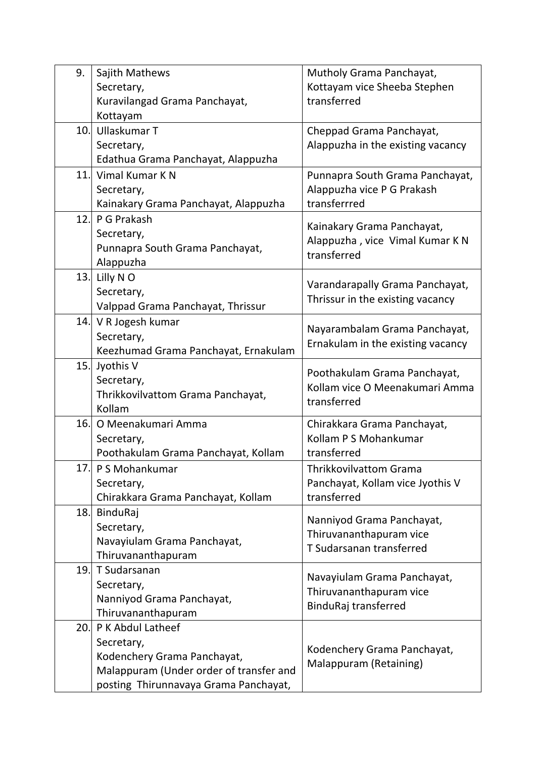| 9.   | Sajith Mathews                          | Mutholy Grama Panchayat,                       |
|------|-----------------------------------------|------------------------------------------------|
|      | Secretary,                              | Kottayam vice Sheeba Stephen                   |
|      | Kuravilangad Grama Panchayat,           | transferred                                    |
|      | Kottayam                                |                                                |
| 10.1 | Ullaskumar T                            | Cheppad Grama Panchayat,                       |
|      | Secretary,                              | Alappuzha in the existing vacancy              |
|      | Edathua Grama Panchayat, Alappuzha      |                                                |
| 11.  | Vimal Kumar K N                         | Punnapra South Grama Panchayat,                |
|      | Secretary,                              | Alappuzha vice P G Prakash                     |
|      | Kainakary Grama Panchayat, Alappuzha    | transferrred                                   |
| 12.1 | P G Prakash                             | Kainakary Grama Panchayat,                     |
|      | Secretary,                              |                                                |
|      | Punnapra South Grama Panchayat,         | Alappuzha, vice Vimal Kumar K N<br>transferred |
|      | Alappuzha                               |                                                |
| 13.  | Lilly N O                               | Varandarapally Grama Panchayat,                |
|      | Secretary,                              | Thrissur in the existing vacancy               |
|      | Valppad Grama Panchayat, Thrissur       |                                                |
|      | 14. V R Jogesh kumar                    | Nayarambalam Grama Panchayat,                  |
|      | Secretary,                              | Ernakulam in the existing vacancy              |
|      | Keezhumad Grama Panchayat, Ernakulam    |                                                |
| 15.  | Jyothis V                               | Poothakulam Grama Panchayat,                   |
|      | Secretary,                              | Kollam vice O Meenakumari Amma                 |
|      | Thrikkovilvattom Grama Panchayat,       | transferred                                    |
|      | Kollam                                  |                                                |
| 16.  | O Meenakumari Amma                      | Chirakkara Grama Panchayat,                    |
|      | Secretary,                              | Kollam P S Mohankumar                          |
|      | Poothakulam Grama Panchayat, Kollam     | transferred                                    |
| 17.  | P S Mohankumar                          | <b>Thrikkovilvattom Grama</b>                  |
|      | Secretary,                              | Panchayat, Kollam vice Jyothis V               |
|      | Chirakkara Grama Panchayat, Kollam      | transferred                                    |
| 18.  | BinduRaj                                | Nanniyod Grama Panchayat,                      |
|      | Secretary,                              | Thiruvananthapuram vice                        |
|      | Navayiulam Grama Panchayat,             | T Sudarsanan transferred                       |
|      | Thiruvananthapuram                      |                                                |
| 19.  | T Sudarsanan                            | Navayiulam Grama Panchayat,                    |
|      | Secretary,                              | Thiruvananthapuram vice                        |
|      | Nanniyod Grama Panchayat,               | BinduRaj transferred                           |
|      | Thiruvananthapuram                      |                                                |
| 20.1 | P K Abdul Latheef                       |                                                |
|      | Secretary,                              | Kodenchery Grama Panchayat,                    |
|      | Kodenchery Grama Panchayat,             | Malappuram (Retaining)                         |
|      | Malappuram (Under order of transfer and |                                                |
|      | posting Thirunnavaya Grama Panchayat,   |                                                |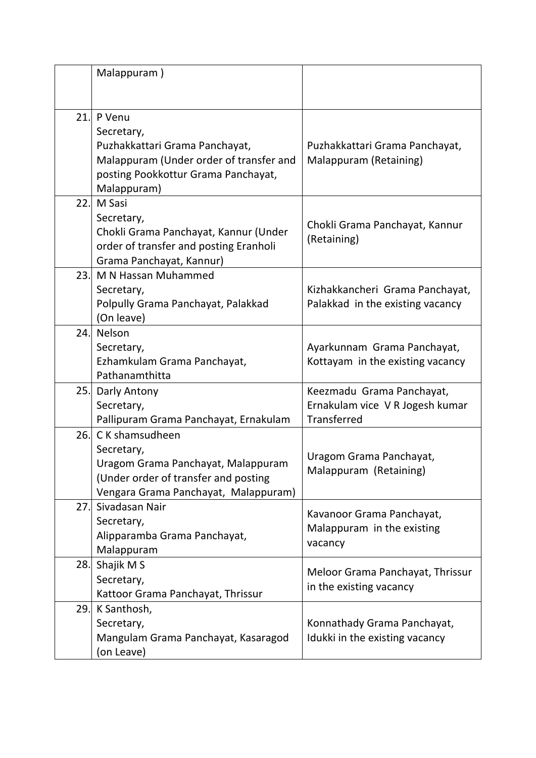|      | Malappuram)                                                                                                                                             |                                                                             |
|------|---------------------------------------------------------------------------------------------------------------------------------------------------------|-----------------------------------------------------------------------------|
| 21.  | P Venu<br>Secretary,<br>Puzhakkattari Grama Panchayat,<br>Malappuram (Under order of transfer and<br>posting Pookkottur Grama Panchayat,<br>Malappuram) | Puzhakkattari Grama Panchayat,<br>Malappuram (Retaining)                    |
| 22.  | M Sasi<br>Secretary,<br>Chokli Grama Panchayat, Kannur (Under<br>order of transfer and posting Eranholi<br>Grama Panchayat, Kannur)                     | Chokli Grama Panchayat, Kannur<br>(Retaining)                               |
| 23.1 | M N Hassan Muhammed<br>Secretary,<br>Polpully Grama Panchayat, Palakkad<br>(On leave)                                                                   | Kizhakkancheri Grama Panchayat,<br>Palakkad in the existing vacancy         |
| 24.  | Nelson<br>Secretary,<br>Ezhamkulam Grama Panchayat,<br>Pathanamthitta                                                                                   | Ayarkunnam Grama Panchayat,<br>Kottayam in the existing vacancy             |
| 25.  | Darly Antony<br>Secretary,<br>Pallipuram Grama Panchayat, Ernakulam                                                                                     | Keezmadu Grama Panchayat,<br>Ernakulam vice V R Jogesh kumar<br>Transferred |
| 26.  | C K shamsudheen<br>Secretary,<br>Uragom Grama Panchayat, Malappuram<br>(Under order of transfer and posting<br>Vengara Grama Panchayat, Malappuram)     | Uragom Grama Panchayat,<br>Malappuram (Retaining)                           |
| 27.  | Sivadasan Nair<br>Secretary,<br>Alipparamba Grama Panchayat,<br>Malappuram                                                                              | Kavanoor Grama Panchayat,<br>Malappuram in the existing<br>vacancy          |
| 28.I | Shajik M S<br>Secretary,<br>Kattoor Grama Panchayat, Thrissur                                                                                           | Meloor Grama Panchayat, Thrissur<br>in the existing vacancy                 |
| 29.  | K Santhosh,<br>Secretary,<br>Mangulam Grama Panchayat, Kasaragod<br>(on Leave)                                                                          | Konnathady Grama Panchayat,<br>Idukki in the existing vacancy               |